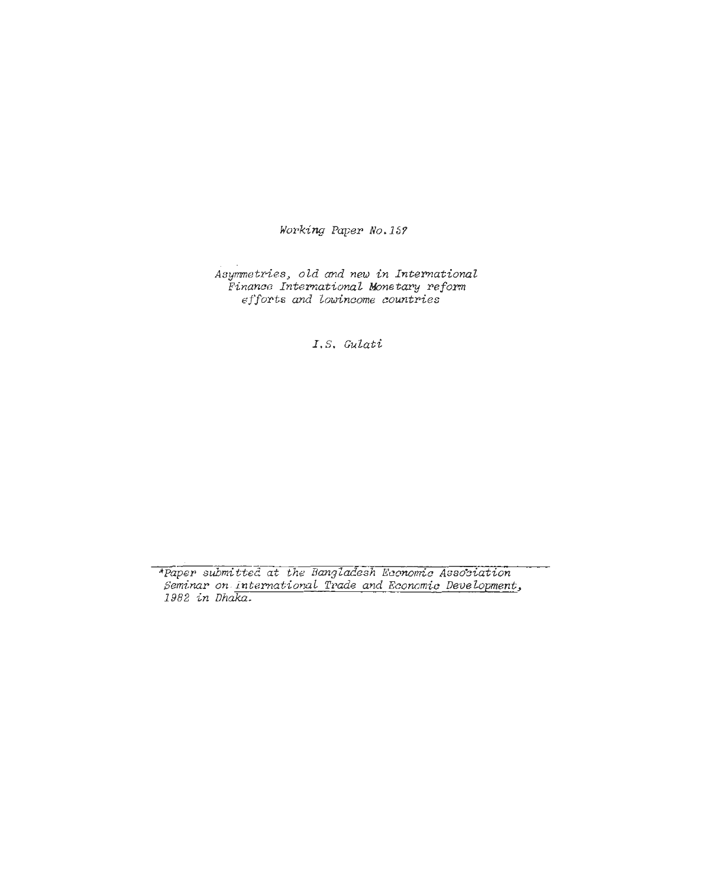**Working Paper No.157** 

**Asymetries, old and new in International Finance International Monetary reform efforts and lowincome countries** 

*I.S.* **GuZati** 

\*Paper submitted at the Bangladesh Economic Association **Seminar on.internationa~ Trade ad Econcmic Development, 1382 in Dhaka.**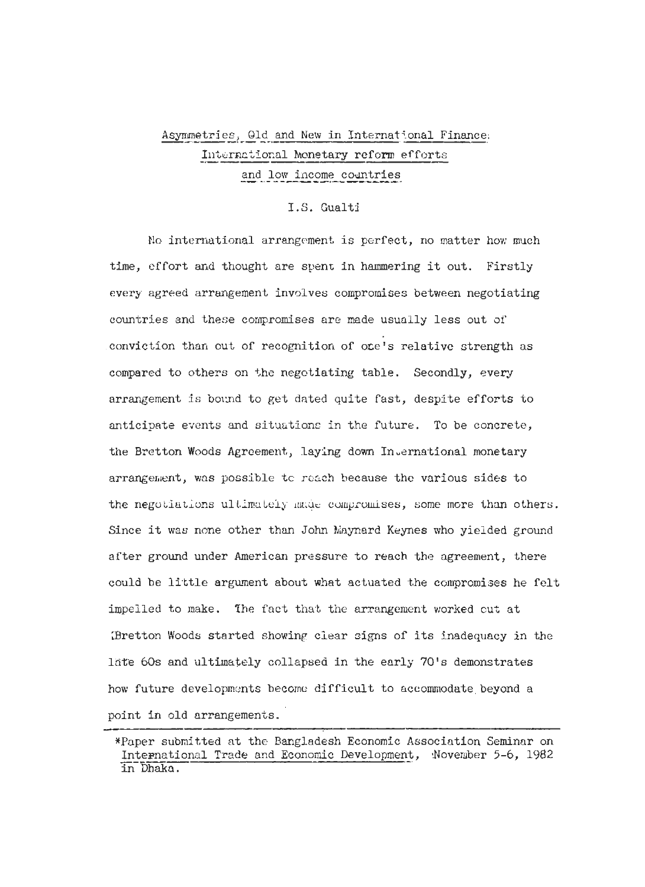# Asymmetries, Old and New in International Finance. International Monetary reform efforts and low income countries

### I.S. Gualti

No international arrangement is perfect, no matter how much time, effort and thought are spent in hammering it out. Firstly every agreed arrangement involves compromises between negotiating countries and these compromises are made usually less out of conviction than cut of recognition of one's relative strength as compared to others on the negotiating table. Secondly, every arrangement is bound to get dated quite fast, despite efforts to anticipate events and situations in the future. To be concrete, the Bretton Woods Agreement, laying down Invernational monetary arrangement, was possible to reach because the various sides to the negotiations ultimately made compromises, some more than others. Since it was none other than John Maynard Keynes who yielded ground after ground under American pressure to reach the agreement, there could be little argument about what actuated the compromises he felt impelled to make. The fact that the arrangement worked cut at (Bretton Woods started showing clear signs of its inadequacy in the late 60s and ultimately collapsed in the early 70's demonstrates how future developments become difficult to accommodate beyond a point in old arrangements.

<sup>\*</sup>Paper submitted at the Bangladesh Economic Association Seminar on International Trade and Economic Development, November 5-6, 1982 in Dhaka.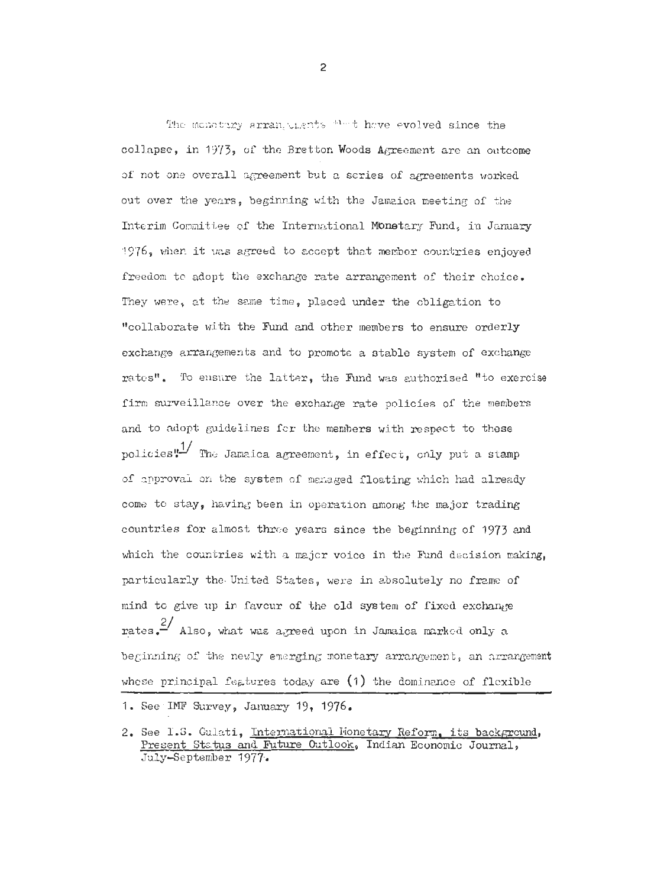The memotiny arrangulants that have evolved since the collapse, in 1973, of the Bretton Woods Agreement are an outcome of not one overall agreement but a series of agreements worked out over the years, beginning with the Jamaica meeting of the Interim Committee of the International Monetary Fund, in January 1976, when it was agreed to accept that member countries enjoyed freedom to adopt the exchange rate arrangement of their choice. They were, at the same time, placed under the obligation to "collaborate with the Fund and other members to ensure orderly exchange arrangements and to promote a stable system of exchange rates". To ensure the latter, the Fund was authorised "to exercise firm surveillance over the exchange rate policies of the members and to adopt guidelines for the members with respect to these policies"<sup>1/</sup> The Jamaica agreement, in effect, only put a stamp of approval on the system of menaged floating which had already come to stay, having been in operation among the major trading countries for almost three years since the beginning of 1973 and which the countries with a major voice in the Fund decision making, particularly the United States, were in absolutely no frame of mind to give up in favour of the old system of fixed exchange rates.  $\frac{2}{3}$  Also, what was agreed upon in Jamaica marked only a beginning of the newly emerging monetary arrangement, an arrangement whose principal features today are  $(1)$  the dominance of flexible

 $\overline{2}$ 

<sup>1.</sup> See IMF Survey, January 19, 1976.

<sup>2.</sup> See I.S. Gulati, International Monetary Reform, its background, Present Status and Future Outlook, Indian Economic Journal, July-September 1977.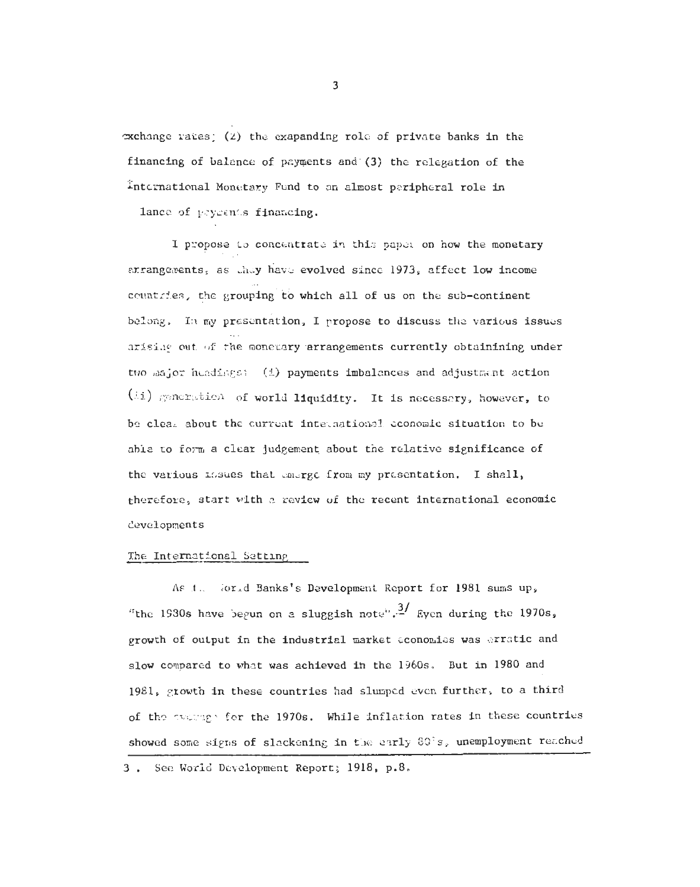$\infty$ change rates; (2) the exapanding role of private banks in the financing of balance of payments and (3) the relegation of the International Monetary Fund to an almost peripheral role in

lance of peyments financing.

I propose to concentrate in this paper on how the monetary arrangements, as they have evolved since 1973, affect low income countries, the grouping to which all of us on the sub-continent belong. In my presentation, I propose to discuss the various issues arising out of the monetary arrangements currently obtainining under two major headings: (i) payments imbalances and adjustment action (ii) generation of world liquidity. It is necessary, however, to be clear about the current international economic situation to be able to form a clear judgement about the relative significance of the various mesuas that energy from my presentation. I shall, therefore, start with a review of the recent international economic developments

#### The International Setting

As t. World Banks's Development Report for 1981 sums up. "the 1930s have begun on a sluggish note".<sup>3</sup>/ Eyen during the 1970s, growth of output in the industrial market economies was erratic and slow compared to what was achieved in the 1960s. But in 1980 and 1981, growth in these countries had slumped even further, to a third of the evaluage for the 1970s. While inflation rates in these countries showed some signs of slackening in the early 80°s, unemployment reached

3. See World Development Report; 1918, p.8.

 $\overline{\mathbf{3}}$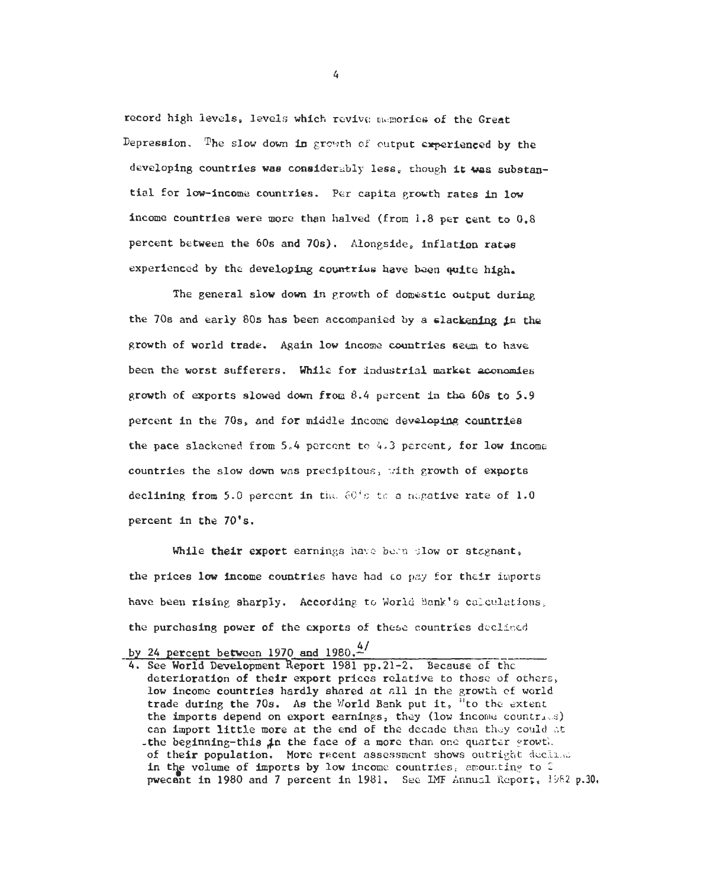record high levels, levels which revive memories of the Great Depression. The slow down in growth of cutput experienced by the developing countries was considerably less, though it was substantial for low-income countries. Per capita growth rates in low income countries were more than halved (from 1.8 per cent to 0.8 percent between the 60s and 70s). Alongside, inflation rates experienced by the developing countries have been quite high.

The general slow down in growth of domestic output during the 70s and early 80s has been accompanied by a clackening in the growth of world trade. Again low income countries seem to have been the worst sufferers. While for industrial market aconomies growth of exports slowed down from  $8.4$  percent in the 60s to 5.9 percent in the 70s, and for middle income developing countries the pace slackened from 5.4 percent to 4.3 percent, for low income countries the slow down was precipitous, with growth of exports declining from 5.0 percent in the 60's to a negative rate of 1.0 percent in the 70's.

While their export earnings have been slow or stagnant, the prices low income countries have had to pay for their imports have been rising sharply. According to World Bank's calculations, the purchasing power of the exports of these countries declined

 $\overline{4}$ 

by 24 percent between 1970 and 1980. $4/$ 

<sup>4.</sup> See World Development Report 1981 pp.21-2. Because of the deterioration of their export prices relative to those of others, low income countries hardly shared at all in the growth of world trade during the 70s. As the World Bank put it, "to the extent the imports depend on export earnings, they (low income countries) can import little more at the end of the decade than they could at the beginning-this in the face of a more than one quarter growth. of their population. More recent assessment shows outright decline in the volume of imports by low income countries, amounting to 2 pwecent in 1980 and 7 percent in 1981. See IMF Annual Report, 1982 p.30.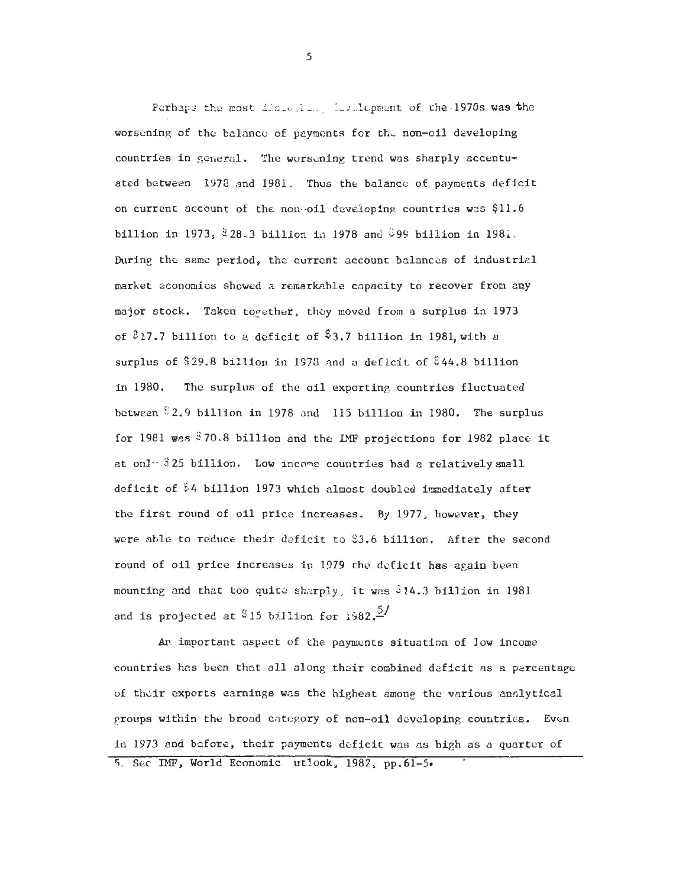Perhaps the most discotting forelopment of the 1970s was the worsening of the balance of payments for the non-oil developing countries in general. The worsening trend was sharply accentuated between 1978 and 1981. Thus the balance of payments deficit on current account of the now-oil developing countries was \$11.6 billion in 1973,  $$28.3$  billion in 1978 and  $$99$  billion in 1981. During the sane period, the current account balances of industrial market economies showed a remarkable capacity to recover from any major stock. Taken toeether, they moved from a surplus in 1973 of **93** 17.7 billion to a deficit of \$3.7 billion in 1981, with a surplus of \$29.8 billion in 1978 and a deficit of \$44.8 billion in 1980. The surplus of the oil exporting countries fluctuated between \$2.9 billion in 1978 and 115 billion in 1980. The surplus for 1981 **was** \$70.8 billion and the IMF projections for 1982 place it at onl $\cdot$  \$25 billion. Low income countries had a relatively small deficit of \$4 billion 1973 which almost doubled immediately after the first round of oil price increases. By 1977, however, they were able to reduce their deficit to \$3.6 billion. After the second round of oil price increases in 1979 the deficit has again been mounting and that too quite sharply, it was  $\sqrt[3]{14.3}$  billion in 1981 and is projected at  $$15$  billion for 1982.<sup>2</sup>/

Ar important aspect of the payments situation of low income countries has been that all along thcir combined deficit as a percentage of thcir exports earnings was the highest among the various analytical groups within the broad category of non-oil developing, couutries. Even in 1973 and before, their payments dcficit was as high as **n** quarter of *5.* See IMF, World Economic utlook, 1982, pp.61-5.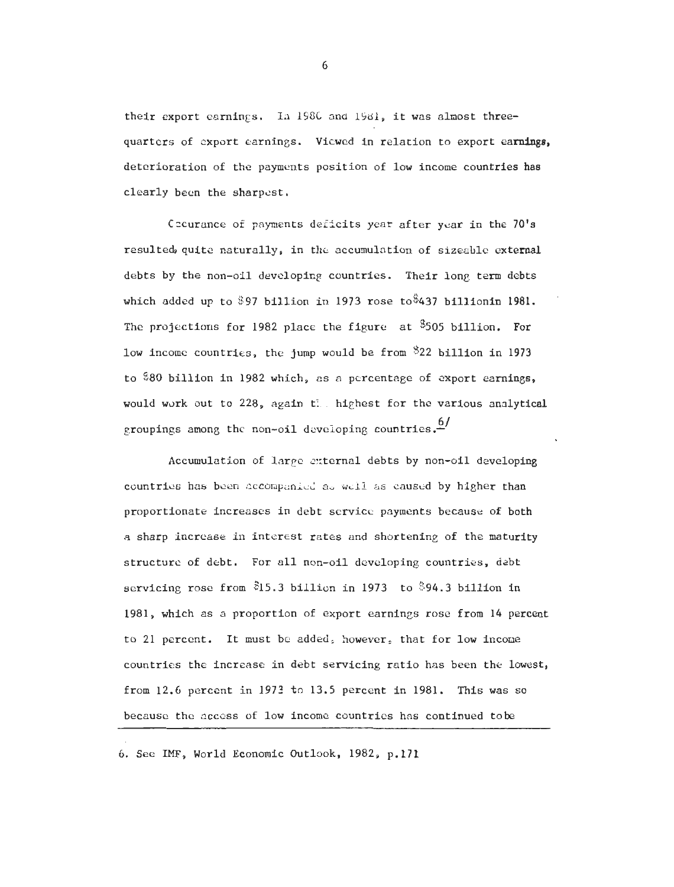their export earnings. In 1980 and 1981, it was almost threequarters of export earnings. Viewed in relation to export earnings, deterioration of the payments position of low income countries has clearly been the sharpest.

Cecurance of payments deficits year after year in the 70's resulted, quite naturally, in the accumulation of sizeable external debts by the non-oil developing countries. Their long term debts which added up to \$97 billion in 1973 rose to \$437 billionin 1981. The projections for 1982 place the figure at  $$505$  billion. For low income countries, the jump would be from  $322$  billion in 1973 to \$80 billion in 1982 which, as a percentage of export earnings. would work out to 228, again the highest for the various analytical groupings among the non-oil developing countries.<sup>6/</sup>

Accumulation of large external debts by non-oil developing countries has been acconpanid aa **wtll** *ss* caused by higher than proportionate increases in debt service payments because of both a sharp increase in interest rates and shortening of the maturity structure of debt. For all non-oil developing countries, debt servicing rose from \$15.3 billion in 1973 to \$94.3 billion in 1981, which as a proportion of export earnings rose from 14 percent to 21 percent. It must be added, however, that for low incone countries the increase in debt servicing ratio has been the lowest, from 12.6 percent in 1973 to 13.5 percent in 1981. This was so because the access of low income countries has continued tobe

6. See IMF, World Economic Outlook, 1982. p.171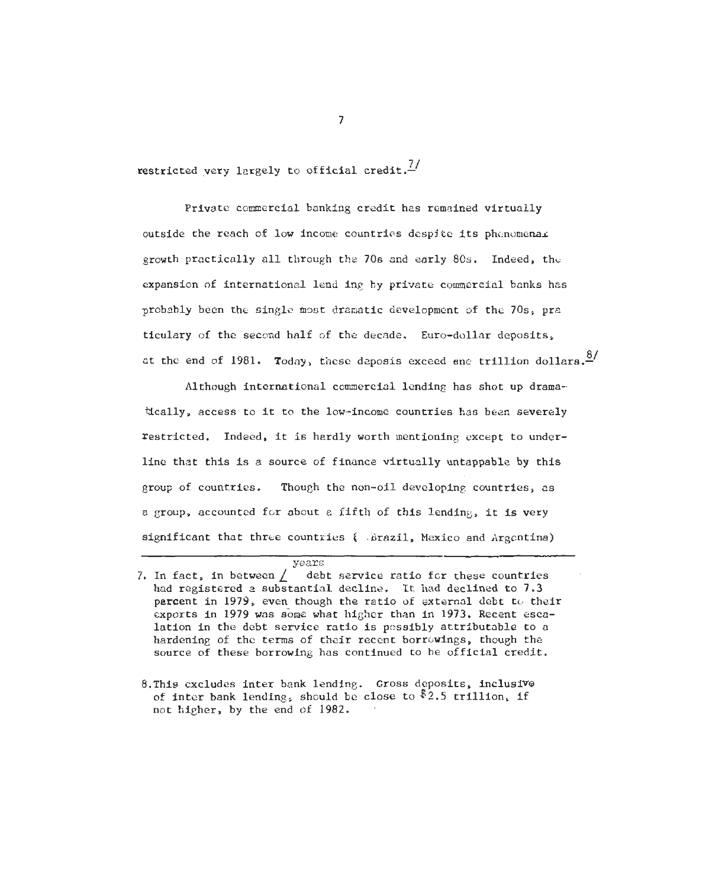restricted very largely to official credit. $\frac{7}{4}$ 

Private comercial banking credit has remained virtually outside the reach of low income countries despite its phenomenal growth practically all through the 70s and early 80s. Indeed, the expansion of international lend inq by private comercial banks has probably been the single most dramatic development of the 70s, pra ticulary of the second half of the decade. Euro-dollar deposits. at the end of 1981. Today, these deposis exceed ene trillion dollars.<sup>8/</sup>

Although international commercial lending has shot up dramatically, access to it to the low-income countries has been severely restricted. Indeed, it is hardly worth mentioning except to underline that this is a source of finance virtually untappable by this group of countries. Though the non-oil developing countries, as a group, accounted for about a fifth of this lending, it is very significant that three countries **f** -Brazil, Mexico and Argentina)

# **years**

 $\overline{7}$ 

<sup>7.</sup> In fact, in between  $\int$  debt service ratio for these countries had registered a substantial decline. It had declined to 7.3 percent in 1979, even though the ratio of external debt to their exports in 1979 was some what higher than in 1973. Recent escalation in the debt service ratio is possibly attributable to a hardening of the terms of their recent borrowings, though the source of these borrowing has continued to be official credit.

<sup>8.</sup> This excludes inter bank lending. Gross deposits, inclusive of inter bank lending, should be close to  $2.5$  trillion, if not higher, by the end of 1982.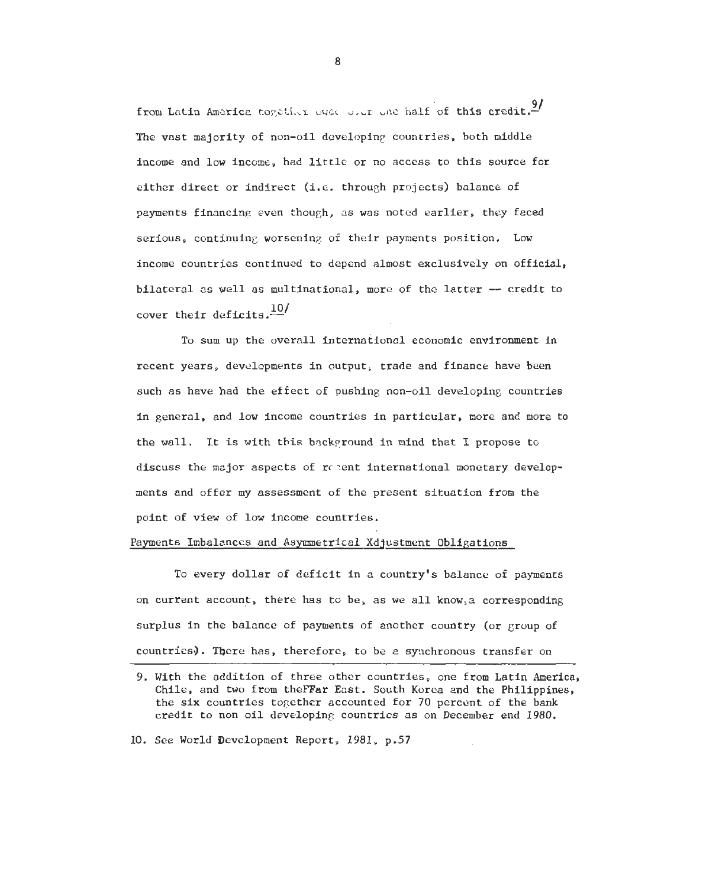from Latin America together over one and half of this credit.<sup>9/</sup> The vast majority of non-oil developing countries, both middle income and low income, had little or no access to this source for either direct or indirect (i.e. through projects) balance of payments financing even though, as was noted earlier, they faced serious, continuing worsening of their payments position. Low income countries continued to depend almost exclusively on official, bilateral as well as multinational, more of the latter -- credit to cover their deficits. $\frac{10}{10}$ 

To sum up the overall international economic environment in recent years, developments in output, trade and finance have been such as have had the effect of pushing non-oil developing countries in general, and low income countries in particular, more and more to the wall. It is with this background in mind that I propose to discuss the major aspects of rr-ent international monetary developments and offer my assessment of the present situation from the point of view of low income countries.

#### Payments Imbalances and Asymmetrical Xdjustment Obligations

To every dollar of deficit in a country's balance of payments on current account, there has to be, as we all know,a corresponding surplus in the balance of payments of another country (or group of To eve<br>on current a<br>surplus in the<br>countries).<br>9. With the Chile and surplus in the balance of payments of another country (or group of<br>countries). There has, therefore, to be a synchronous transfer on

10. See World Development Report, 1981, p.57

<sup>9.</sup> With the addition of three other countries, one from Latin America, Chile, and two from the FFar East. South Korea and the Philippines, the six countries together accounted for 70 percent of the bank credit to non oil developing countrics as on December end 1980.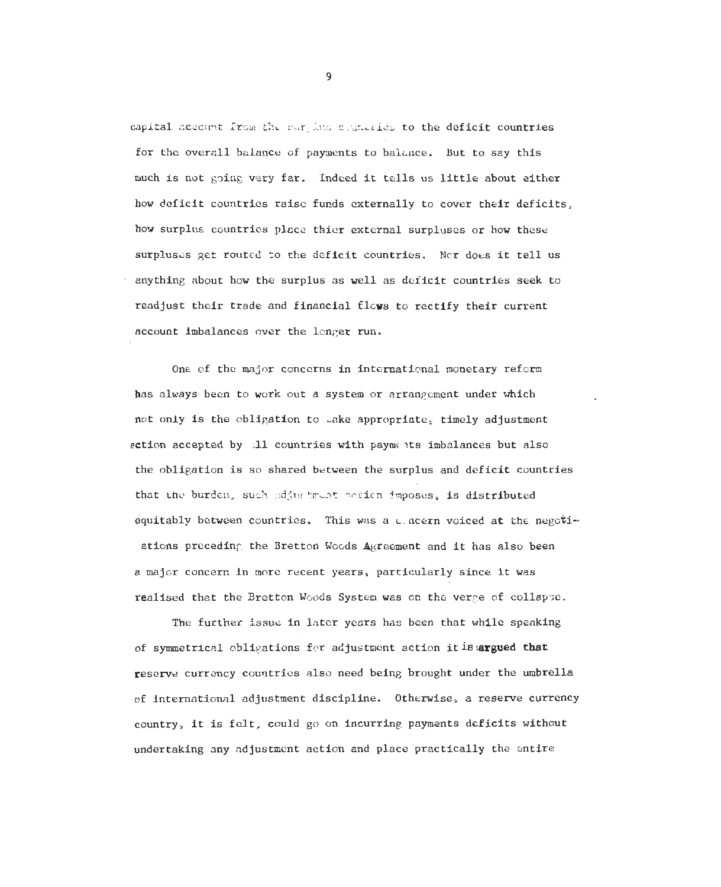capital account from the partime countries to the deficit countries for the overall balance of payments to balance. But to say this much is not going very far. Indeed it tells us little about either how deficit countries raisc furds externally to cover their deficits, how surplus countries place thier external surpluses or how these surpluses get routed to the deficit countries. Nor does it tell us anything about how the surplus as well as deficit countries seek to readjust their trade and financial flows to rectify their current account imbalances over the longer run.

One of the major concerns in international monetary reform has always been to work out a system or arrangement under which not only is the obligation to take appropriate, timely adjustment action accepted by A1 countries with payments imbalances but also the obligation is so shared between the surplus and deficit countries that the burden, such adjustment netion imposes, is distributed equitably between countries. This was a cacern voiced at the negotiations preceding the Bretton Woods Agreement and it has also been a major concern in more recent years, particularly since it was realised that the Bretton Woods System was on the verge of collapse.

The further issue in later years has been that while speaking of symmetrical obligations for adjustment action itis.argued that reserve currency countries also need being brought under the umbrella of international adjustment discipline. Otherwise, a reserve currency country, it is felt, could go **on** incurring payments deficits without undertaking any adjustment action and place practically the entire

 $\overline{9}$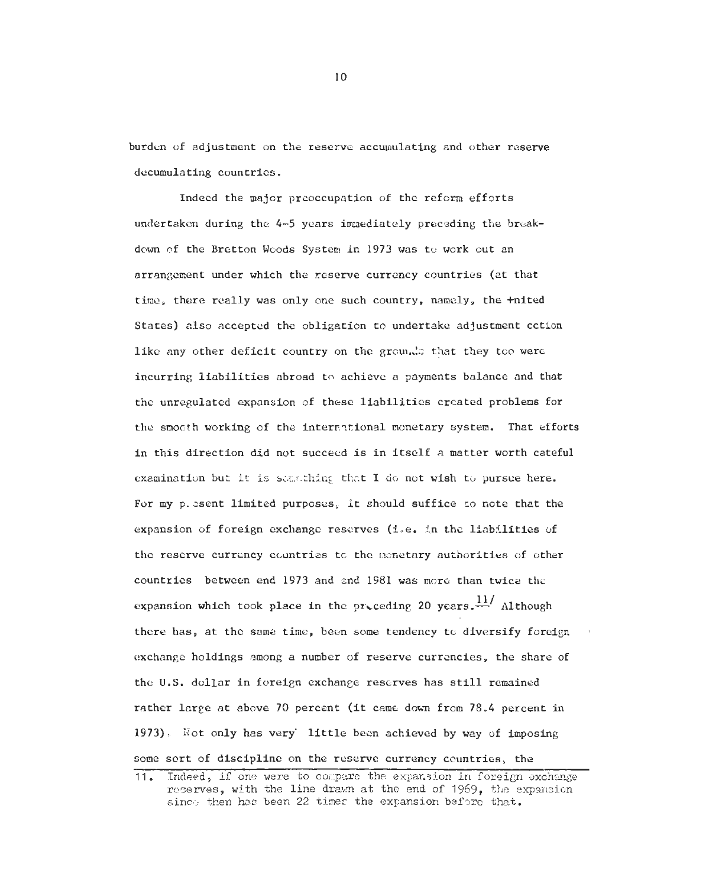burden of adjustment on the reserve accumulating and other reserve decumulating countries.

Indeed the major preoccupation of the reform efforts undertaken during the 4-5 years immediately preceding the breakdown of the Bretton Woods System in 1973 was to work out an arrangement under which the reserve currency countries (at that tine, there really was only one such country, namely, the +nited States) also accepted the obligation to undertake adjustment cction like any other deficit country on the grounds that they too were incurring liabilities abroad to achieve a payments balance and that the unregulated expansion of these liabilities created problems for the smooth working of the intem?tional monetary system. That efforts in this direction did not succeed is in itself a matter worth cateful examination but it is samething that I do not wish to pursue here. For my p. sent limited purposes, it should suffice to note that the expansion of foreign exchange reserves (i.e. in the liabilities of the reserve currency countries to the menetary authorities of other countries betwcen end 1973 and end **1981** was more than twice the expansion which took place in the proceding 20 years. $\frac{11}{11}$  Although there has, at the same time, been some tendency to diversify foreign exchange holdings among a number of reserve currencies, the share of the U.S. dollar in foreign exchange reserves has still remained rather large at above 70 percent (it came down from 78.4 percent in 1973). Not only has very' little been achieved by way of imposing some sort of discipline on the reserve currency countries, the

<sup>11.</sup> Indeed, if one were to compare the expansion in foreign exchange reserves, with the line drawn at the end of 1969, the expansion since then has been 22 times the expansion before that.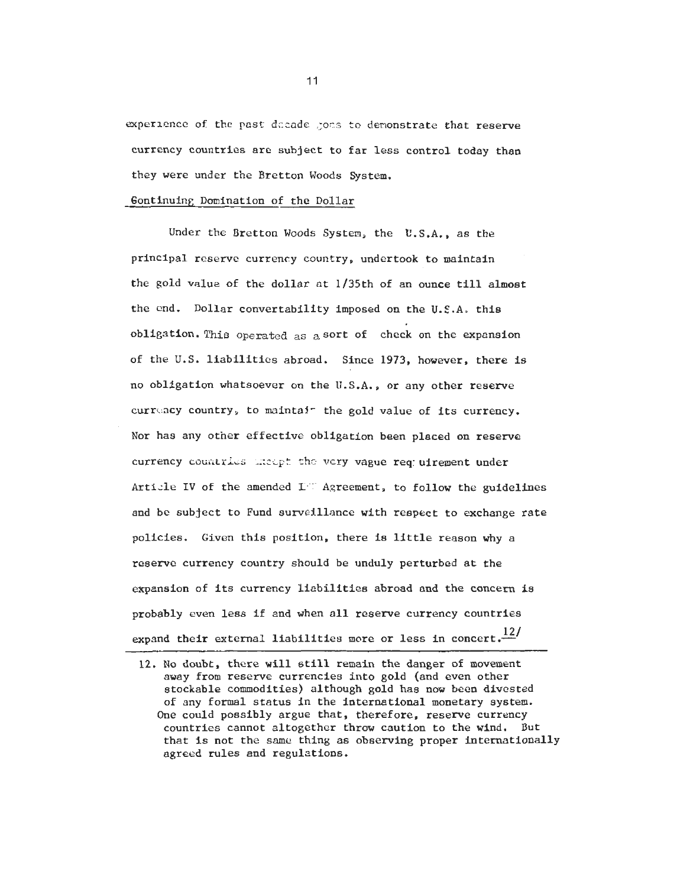experience of the past dccade goes to demonstrate that reserve currency countries are subject to far less control today than they were under the Bretton Woods System.

## 6ontinuing Domination of the Dollar

Under the Bretton Woods System, the **U.S.A..** as the principal reserve currency country, undertook to maintain the gold value of the dollar at 1/35th of an ounce till almost the end. Dollar convertability imposed on the U.S.A. this obligation. **This** operated as asort of check on the expansion of the U.S. liabilities abroad. Since 1973, however. there is no obligation whatsoever on the U.S.A.. or any other reserve currency country, to maintair the gold value of its currency. Nor has any other effective obligation been placed on reserve currency countries theort the very vague req: uirement under Arti-le IV of the amended I<sup>I</sup> Agreement, to follow the guidelines and be subject to Fund surveillance with respect to exchange rate policies. Given this position, there is little reason why a reserve currency country should be unduly perturbed at the expension of its currency liabilities abroad and the concern **is**  probably even less if and when all reserve currency countries expand their external liabilities more or less in concert. $\frac{12}{1}$ 

12. No doubt, there will still remain the danger of movement away from reserve currencies into gold (and even other stockable commodities) although gold has now been divested of any formal status in the international monetary system. One could possibly argue that, therefore, reserve currency countries cannot altogether throw caution to the wind. But that is not the same thing as observing proper internationally agreed rules and regulations.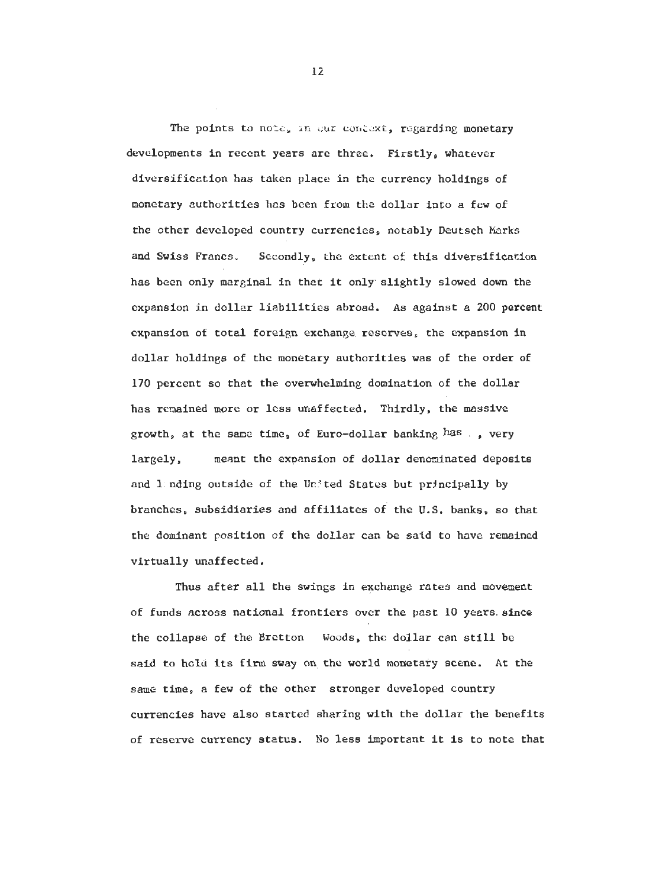The points to note, in our context, regarding monetary developments in recent years are three. Firstly, whatever diversificetion has taken place in the currency holdings of monetary authorities has been from the dollar into a few of the other developed country currencies, notably Deutsch Marks and Swiss Francs. Secondly, the extent of. this diversification has been only marginal in thet it only- slightly slowed down the expansioa in dollar liabilities abroad. As against a **200** percent expansion of total foreign exchange reserves, the expansion in dollar holdings of the monetary authorities was of the order of **170** percent so that the ovewhelning domination of the dollar has remained more or less unaffected. Thirdly, the massive growth, at the same time, of Euro-dollar banking has ., very largely, meant the expansion of dollar denominated deposits and landing outside of the United States but principally by branches, subsidiaries and affiliates of the U.S. banks, so that the dominant position of the dollar can be said to have remained virtually unaffected.

Thus after all the swings **in** exchange rates and movement of funds across national frontiers over the past **10** years since the collapse of the Bretton Woods, the dollar can still be said to held its firm sway on the world monetary scene. At the same time, a few of the other stronger developed country currencies have also started sharing with the dollar the benefits of reseive currency status. No less important it is to note that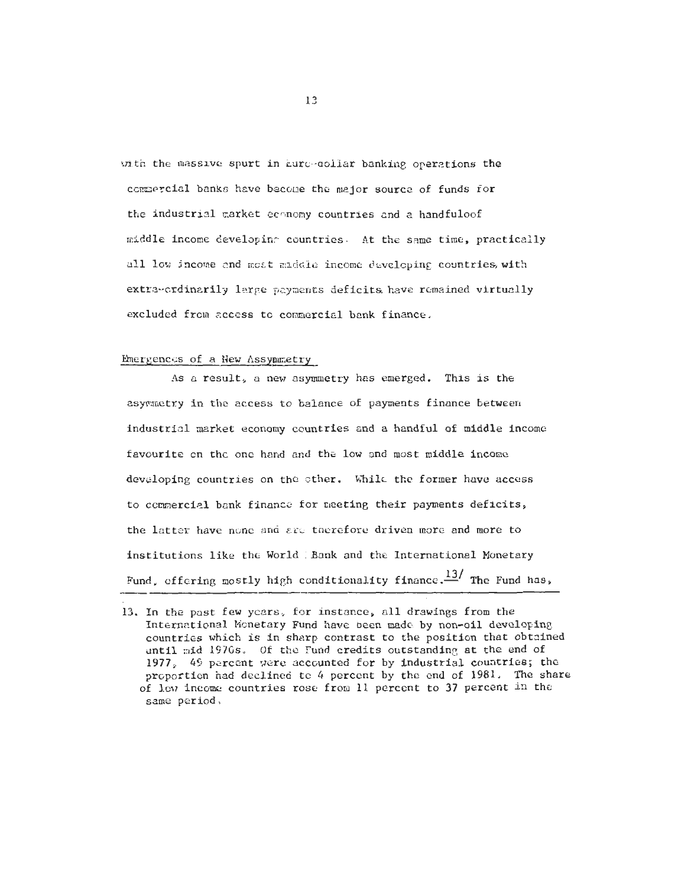with the massive spurt in Euro-collar banking operations the commercial banks have become the major source of funds for the industrial market economy countries and a handfuloof middle income developing countries. At the same time, practically all low income and most middle income developing countries, with extra-crdinarily large payments deficits have remained virtually excluded from access to commercial bank finance.

## Emergences of a New Assymmetry

As a result, a new asymmetry has emerged. This is the asymmetry in the access to balance of payments finance between industrial market economy countries and a handful of middle income favourite on the one hand and the low and most middle income developing countries on the other. While the former have access to commercial bank finance for meeting their payments deficits, the latter have none and are therefore driven more and more to institutions like the World Bank and the International Monetary Fund, offering mostly high conditionality finance.<sup>13</sup>/ The Fund has,

<sup>13.</sup> In the past few years, for instance, all drawings from the International Monetary Fund have been made by non-oil developing countries which is in sharp contrast to the position that obtained until mid 1970s. Of the Fund credits outstanding at the end of 1977. 49 percent were accounted for by industrial countries; the proportion had declined to 4 percent by the end of 1981. The share of lew income countries rose from 11 percent to 37 percent in the same period.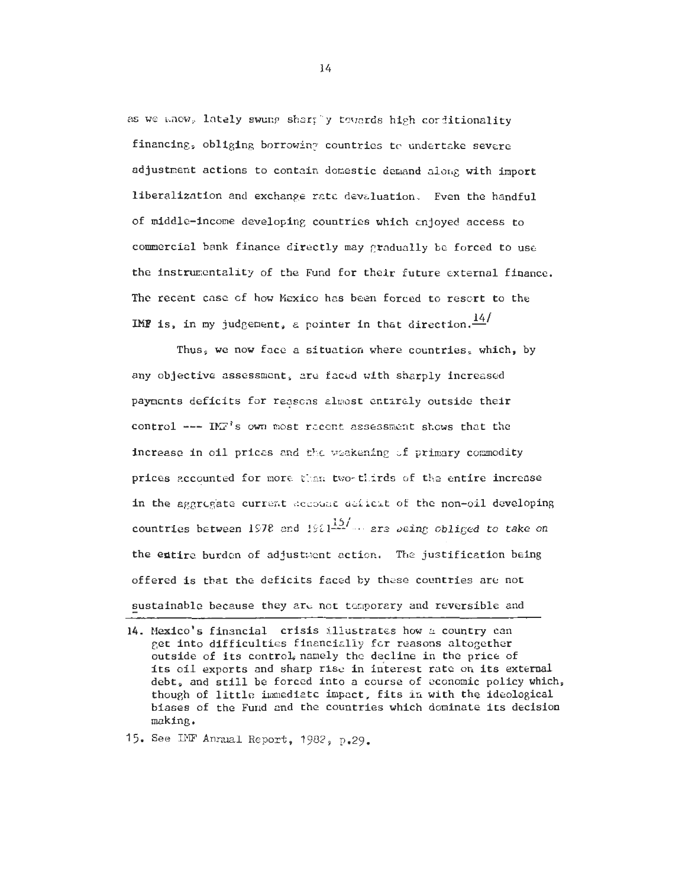as we whow, lately swung shartly towards high conditionality financing, obliging borrowing countries to undertake severe adjustment actions to contain domestic demand along with import liberalization and exchange rate devaluation. Even the handful of middle-income developing countries which enjoyed access to commercial bank finance directly may pradually be forced to use the instrumentality of the Fund for their future external finance. The recent case of how Mexico has been forced to resort to the IMF is, in my judgement, a pointer in that direction.  $\frac{14}{1}$ 

Thus, we now face a situation where countries, which, by any objective assessment, are faced with sharply increased payments deficits for reasons almost entirely outside their control ---  $1\text{M}^3$ 's own most recent assessment shows that the increase in oil prices and the weakening of primary commodity prices accounted for more than two-thirds of the entire increase in the aggregate current account deficit of the non-oil developing countries between 1978 and 1981<sup>157</sup> are being obliged to take on the entire burden of adjustment action. The justification being offered is that the deficits faced by these countries are not sustainable because they are not temporary and reversible and

15. See IMF Annual Report, 1982, p.29.

<sup>14.</sup> Mexico's financial crisis illustrates how a country can get into difficulties financially for reasons altogether outside of its control, namely the decline in the price of its oil exports and sharp rise in interest rate on its external debt, and still be forced into a course of economic policy which, though of little immediate impact, fits in with the ideological biases of the Fund and the countries which dominate its decision making.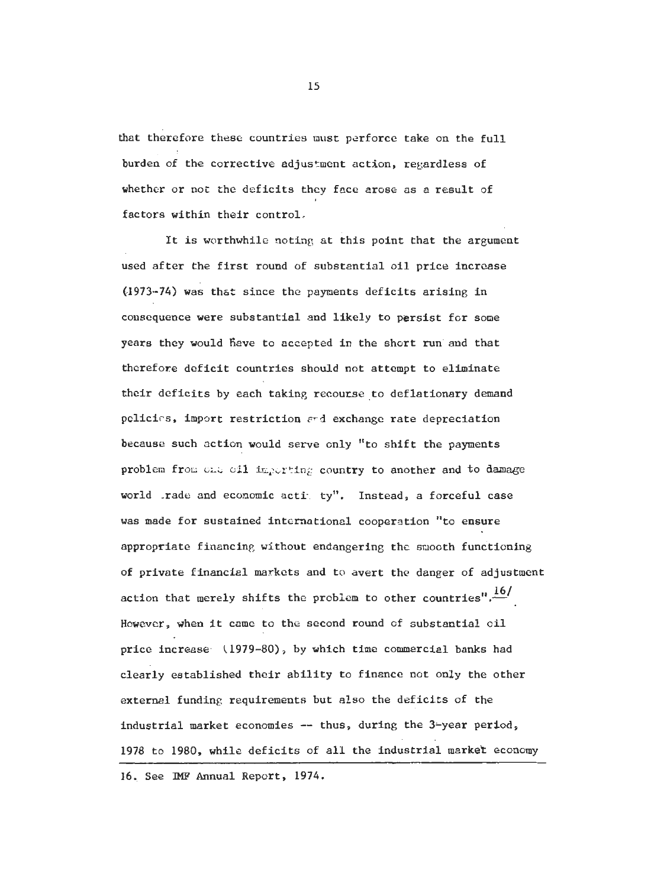that therefore these countries must perforce take on the full burden of the corrective adjustment action, regardless of whether or not the deficits they face arose as a result of factors within their control.

It is worthwhile noting at this point that the argument used after the first round of substantial oil price increase **61973-74)** was thst since the payments deficits arising in consequence were substantial and likely to persist for some years they would have to accepted in the short run and that therefore deficit countries should not attempt to eliminate their deficits by each taking recourse to deflationary demand policics, imprt restriction **~'d** exchange rate depreciation because such action would serve only ''to shift the payments problem from one oil importing country to another and to damage world rade and economic acti ty". Instead, a forceful case was made for sustained international cooperation "to ensure appropriate financing without endangering thc smooth functioning of private financial markets and to avert the danger of adjustment action that merely shifts the problem to other countries". $\frac{16}{1}$ However, when it came to the second round of substantial oil price increase **(1979-80),** by which time commercial banks had clearly established their ability to finance not only the other external funding requirements but also the deficits of the industrial market economies -- thus, during the 3-year period, **1978** to **1980,** while deficits of all the industrial market economy

**16,.** See **IMP** Annual Report, **1974.**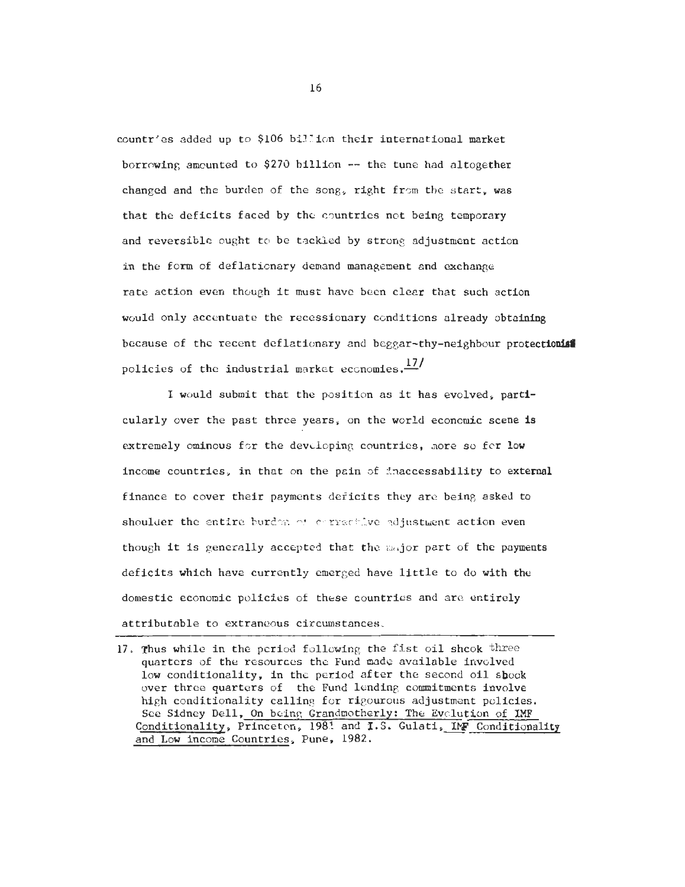countrles added up to \$106 bil'ion their international market borrowing amounted to \$270 billion -- the tune had altogether changed and the burden of the song, right from the start, was that the deficits faced by thc countries not being temporary and reversible ought to be tackled by strong adjustment action in the form of deflationary demand management and exchange rate action even though it must havc been clear that such action would only accentuate the recessionary conditions already obtaining because of the recent deflationary and beggar-thy-neighbour protectionis policies of the industrial market economies. $\frac{17}{1}$ 

I would submit that the position as it has evolved, particularly over the past three years, on the world economic scene is extremely ominous for the devoloping countries, more so for low income countries, in that on the pain of dnaccessability to external finance to cover their payments deficits they arc being asked to shoulder the entire burden of corrective adjustment action even though it is generally accepted that the major part of the payments deficits which have currently emerged have little to do with the domestic economic policies of these countries and are entirely attributable to extraneous circumstances,

<sup>17.</sup> Thus while in the pcriod following the fist oil shcok three quarters of the resources the Fund made available involved low conditionality, in the period after the second oil shook over three quarters of the Fund lending commitments involve high conditionality callins for rigourous adjustment policies. See Sidney Dell, On beins Grandmotherly: The Evclution of IMF Conditionality, Princeton, 1981 and I.S. Gulati, IMF Conditionality and Low income Countries, Pune, 1982.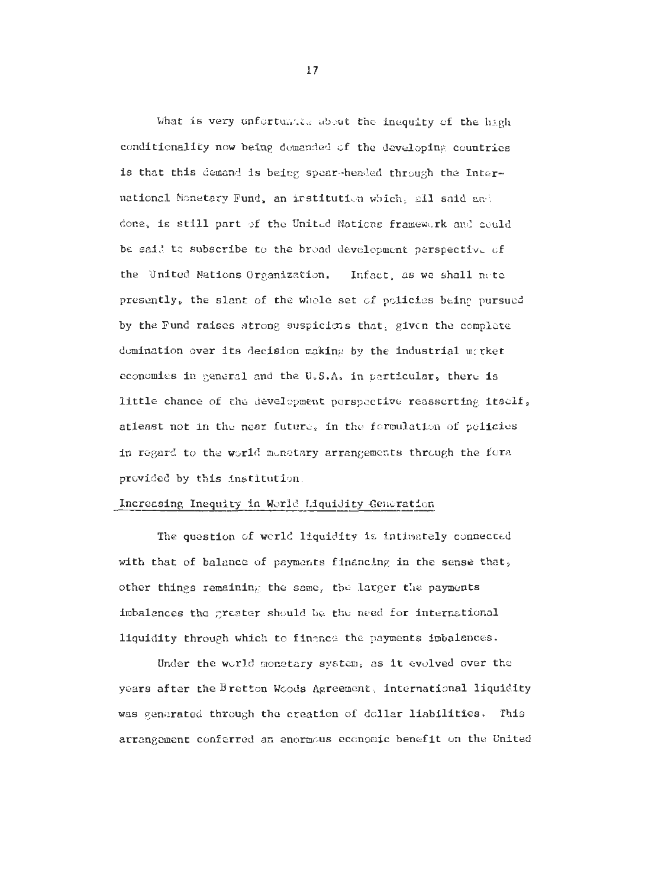What is very unfortunate about the inequity of the high conditionality now being demanded of the developing countries is that this demand is being spear-headed through the International Monetary Fund, an institution which, all said and done, is still part of the United Nations framework and could be said to subscribe to the broad development perspective of the United Nations Organization. Infact, as we shall note presently, the slant of the whole set of policies being pursued by the Fund raises strong suspicions that, given the complete domination over its decision making by the industrial merket conomies in general and the U.S.A. in particular, there is little chance of the development perspective reasserting itself, atleast not in the near future, in the formulation of policies in regard to the world monetary arrangements through the fora provided by this institution.

## Increasing Inequity in World Liquidity Generation

The question of world liquidity is intimately connected with that of balance of payments financing in the sense that, other things remaining the same, the larger the payments imbalances the greater should be the need for international liquidity through which to finance the payments imbalences.

Under the world monetary system, as it evolved over the years after the Bretton Woods Agreement, international liquidity was generated through the creation of dollar liabilities. This arrangement conferred an enormous economic benefit on the United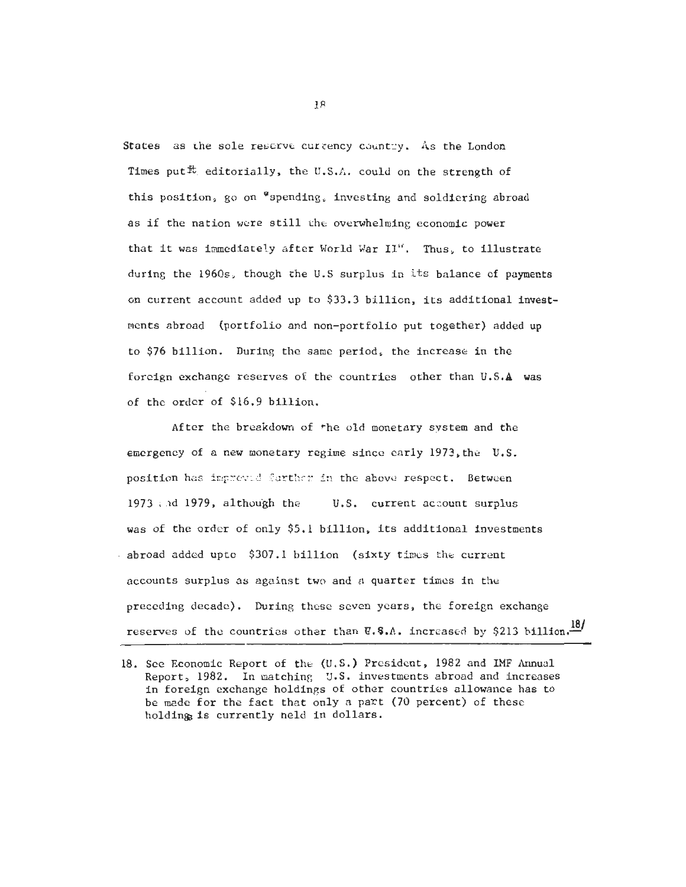States as the sole reserve currency country. As the London Times put<sup> $t$ </sup> editorially, the U.S.A. could on the strength of this position, go on "spending, investing and soldiering abroad as if the nation were still the overwhelming economic power that it was immediate1.y after World Xar **11".** Thus, to illustrate during the 1960s, though the U.S surplus in its balance of payments **on** current account added up to \$33.3 billion, its additional investments abroad (portfolio **and** non-portfolio put together) added **up**  to \$76 billion. During the same period, the increase in the foreign exchange reserves of the countries other than **U.S.A** was of the order of \$16.9 billion.

After the breakdown of \*he old monetary system and the emergency of a new monetary regime since early 1973,the U.S. position has impreved further in the above respect. Between <sup>1973</sup>: .~d 1979, although the **U.S.** current account surplus was of the order of only \$5.1 billion, its additional investments  $-$  abroad added upto  $$307.1$  billion (sixty times the current accounts surplus as against two and a quarter times in the preceding decade). During these seven years, the foreign exchange reserves of the countries other than  $\nabla.$  **S.A.** increased by \$213 billion. $\frac{18}{10}$ 

<sup>18.</sup> See Economic Report of the **(U.S.)** President, 1982 and **IMF** Aunual Report, 1982. In matching U.S. investments abroad and increases in foreign exchange holdings of other countries allowance has to be mede for the fact that only a part (70 percent) of these holding is currently neld in dollars.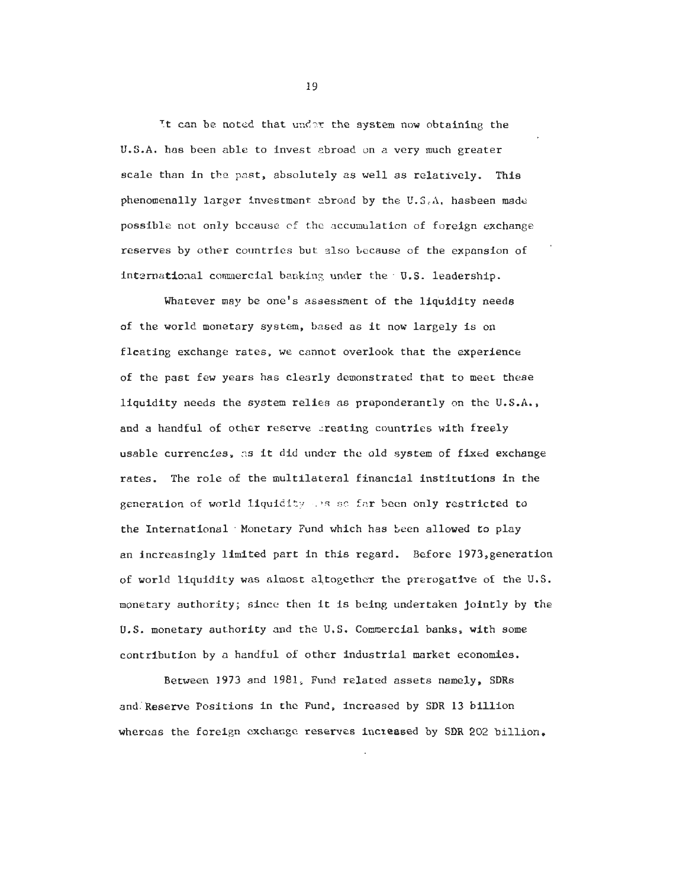Tt can be noted that und-r the system now obtaining the U.S.A. has been able to invest abroad on a very much greater scale than in the past, absolutely as well as relatively. This phenomenally larger investment ebroad by the **U.S,A.** hasbeen made possible not only bccausc cf thc nccumulation of foreign exchange reserves by other countries but also tecause of the expansion of international commercial banking under the U.S. leadership.

Whatever may be one's assessment of the liquidity needs of the world monetary system, based as it now largely is on fleating exchange rates, we cannot overlook that the experience of the past few years has clearly demonstrated that to meet these liquidity needs the system relies as praponderantly on the U.S.A., and a handful of other reserve creating countries with freely usable currencies. as it did under the old system of fixed exchange rates. The role of the multilateral financial institutions in the generation of world liquidfty **:.>F** sr: fzr been only restricted to the International Monetary Fund which has been allowed to play an increasingly limited part in this regard. Before 1973,generation of world liquidity was almost altogether the prerogative of the U.S. monetary authority; since then it is being undertaken jointly by the U.S. monetary authority and the U.S. Commercial banks, with some contribution by a handful of other industrial market economies.

Between 1973 and 1981, Fund related assets namely. SDRs and'Reserve Positions in the Fund, increased by SDR 13 billion whereas the foreign exchange reserves increased by SDR 202 billion.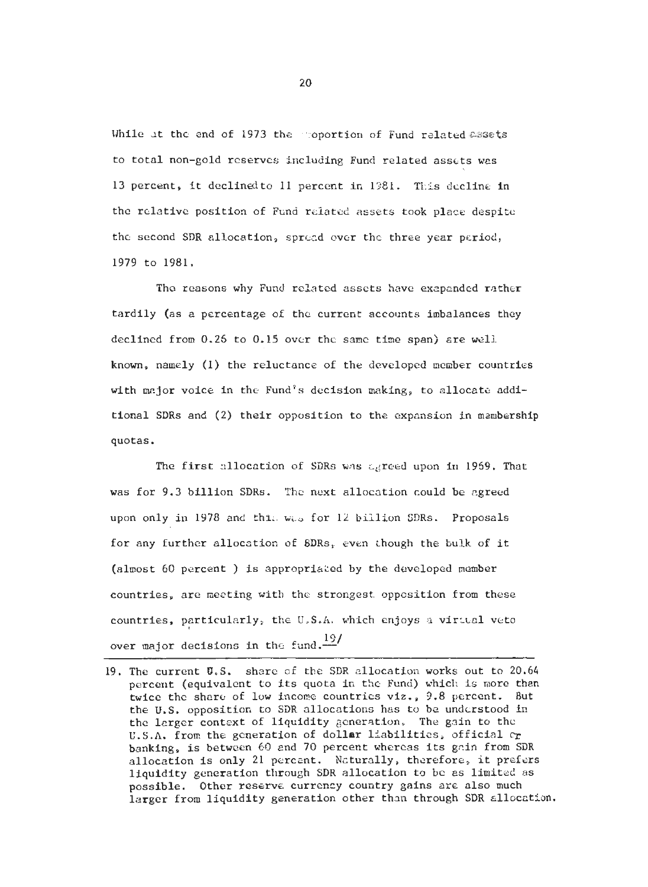While at the end of 1973 the moportion of Fund related assets to total non-gold reserves including Fund related assets was 13 percent, it declinedto 11 percent in 1981. This decline in the relative position of Fund related assets took place despite the second SDR allocation, spreed over the three year period, 1979 to 1981.

The reasons why Fund related assets have exapanded rather tardily (as a percentage of the current accounts imbalances they declined from 0.26 to 0.15 over the same time span) are well known, namely (1) the reluctance of the developed member countries with mzjor voice in the Fund's decision making, to allocate additional SDRs and (2) their opposition to the expansion in mzmbership quotas.

The first allocation of SDRs was agreed upon in 1969. That was for 9.3 billion SDRS. Thc next allocation could be agreed upon only in 1978 and thi-. **WL;.** for 12 biilion SDRs. Proposals for any further allocation of SDRs, even though the bulk of it (almost 60 percent ) is appropriated by the developed member countries, are meeting with the strongest. opposition from these countries, particularly, the **U,S.A.** which enjoys a virtual veto over major decisions in the fund. $\frac{19}{3}$ 

<sup>19.</sup> The current U.S. share of the SDR allocation works out to 20.64 percent (equivalent to its quota in the Fund) which is more than twice the share of low income countries viz., 9.8 percent. But the U.S. opposition to SDR allocations has to be understood in the larger context of liquidity generation. The gain to the U.S.A. from the generation of dollar liabilities, official  $C_T$ banking, is between 60 and 70 percent whereas its gain from SDR allocation is only 21 percat. Naturally, therefore, it prefers liquidity generation through SDR allocation to be as limited as possible. Other reserve currency country gains are also much larger from liquidity generation other than through SDR allocation.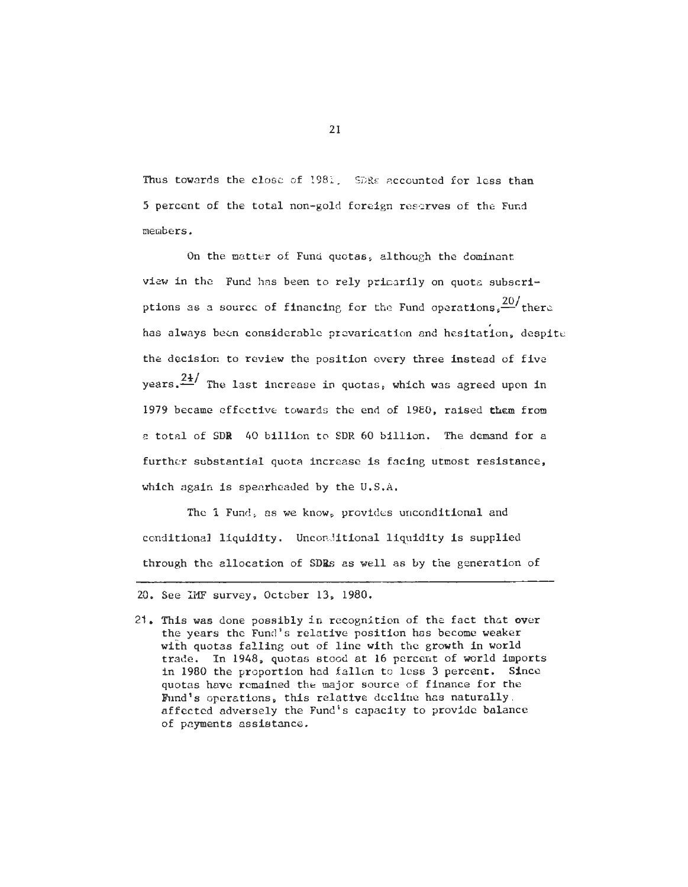Thus towards the close of 1981. SDRs accounted for less than 5 percent of the total non-gold foreign reserves of the Fund members.

On the matter of Fund quotas, although the dominant view in the Fund has been to rely primarily on quota subscriptions as a source of financing for the Fund operations.  $\frac{20}{s}$  there has always been considerable prevarication and hesitation, despite the decision to review the position every three instead of five vears. $\frac{2k}{n}$  The last increase in quotas, which was agreed upon in 1979 became effective towards the end of 19E0, raised them from *e* total of SDR 40 billion to SDR 60 billion. The demand for a further substantial quota increase is facing utmost resistance, which again is spearheaded by the  $U, S, A$ .

The 1 Fund, as we know, provides unconditional and conditional liquidity. Unconditional liquidity is supplied through the allocation of SDRs as well as by the generation of

21. This was done possibly in recognition of the fact that over the years the Fund's relative position has become weaker with quotas falling out of line with the growth in world trade. In 1948, quotas stood at 16 percent of world imports in 1980 the proportion had fallen to less **3** percent. Since quotas have rcmained the major source of finance for the Bind's operations, this relative decline has naturally. affected adversely the Fund's capacity to provide balance of payments assistance.

<sup>20.</sup> See IMF survey, October 13, 1980.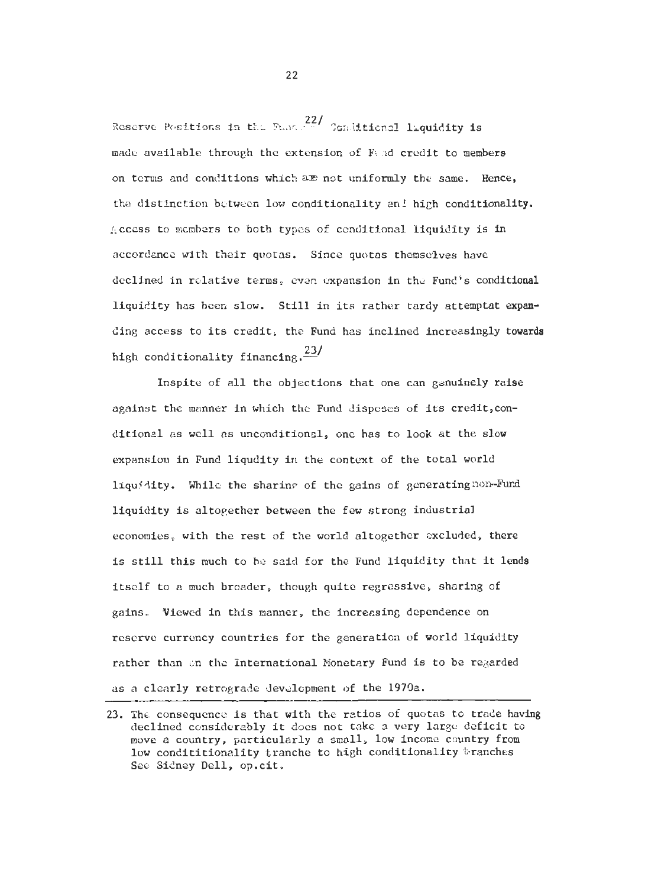Reserve Positions in the Page 22/ Combitional liquidity is made available through the extension of Fand credit to members on terms and conditions which are not uniformly the same. Hence. the distinction between low conditionality and high conditionality. Access to members to both types of conditional liquidity is in accordance with their quotas. Since quotas themselves have declined in relative terms, even expansion in the Fund's conditional liquidity has been slow. Still in its rather tardy attemptat expanding access to its credit, the Fund has inclined increasingly towards high conditionality financing.  $\frac{23}{ }$ 

Inspite of all the objections that one can genuinely raise against the manner in which the Fund disposes of its credit.conditional as well as unconditional, one has to look at the slow expansion in Fund liqudity in the context of the total world liquidity. While the sharing of the gains of generating non-Fund liquidity is altogether between the few strong industrial economies, with the rest of the world altogether excluded, there is still this much to be said for the Fund liquidity that it lends itself to a much breader, though quite regressive, sharing of gains. Viewed in this manner, the increasing dependence on reserve currency countries for the generation of world liquidity rather than an the International Monetary Fund is to be regarded as a clearly retrograde development of the 1970a.

<sup>23.</sup> The consequence is that with the ratios of quotas to trade having declined considerably it does not take a very large deficit to move a country, particularly a small, low income country from low condititionality tranche to high conditionality tranches See Sidney Dell, op.cit.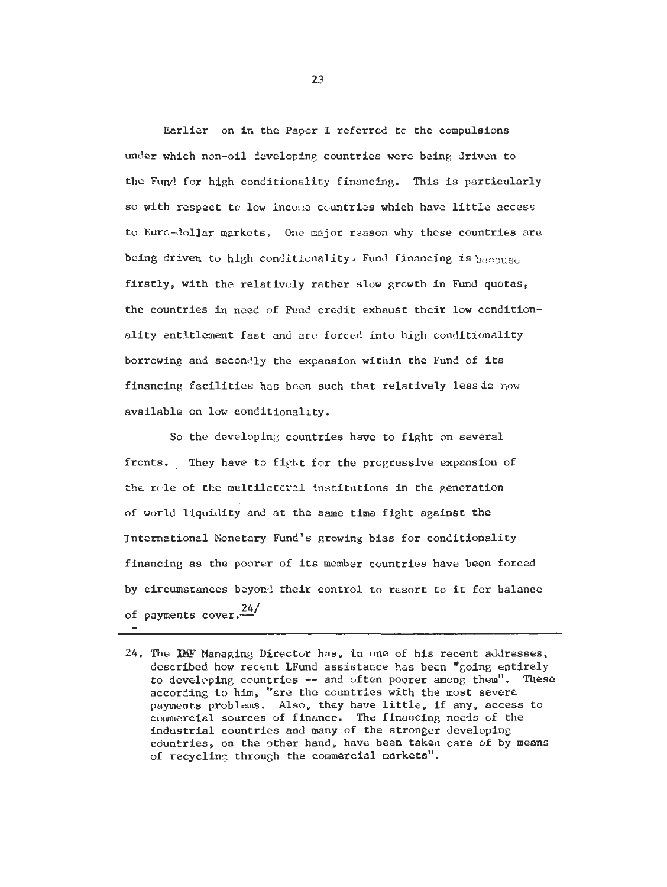Earlier on in the Paper I referred to the compulsions under which non-oil developing countries were being driven to the Fund for high conditionality financing. This is particularly so with respect to low income countries which have little access to Euro-dollar markets. **One** mjor reason why these countries are being driven to high conditionality. Fund financing is  $b_{\text{R}(\text{C2})\text{ISC}}$ firstly, with the relativcly rather slow growth in Fund quotas, the countries in need of Fund credit exhaust their low conditionality entitlement fast and are forced into high conditionality borrowing and secondly the expansion within the Fund of its financing facilities has been such that relatively less is now available on low conditionality.

So the developing countries have to fight on several fronts. They have to fight for the progressive expansion of the role of the multilateral institutions in the generation of world liquidity and at the same time fight against the Tntcmational Nonetcry Fund's growing bias for conditionality financing as the poorer of its member countries have been forced by circumstances beyon! their control to resort to it for balance of payments cover.<sup>24/</sup>

<sup>24.</sup> The **IHF** Managing Director has, in one of his recent addresses, described how recent LFund assistance has been \*going entirely to developing countries -- and often poorer among them". These according to him, "ere the countries with the most severe payments problems. Also, they have little, if any, access to comerciel sources of finance. The financing needs of the industrial countries and many of the stronger developing countries, on the other hand, have been taken care of by means of recycling through the commercial markets".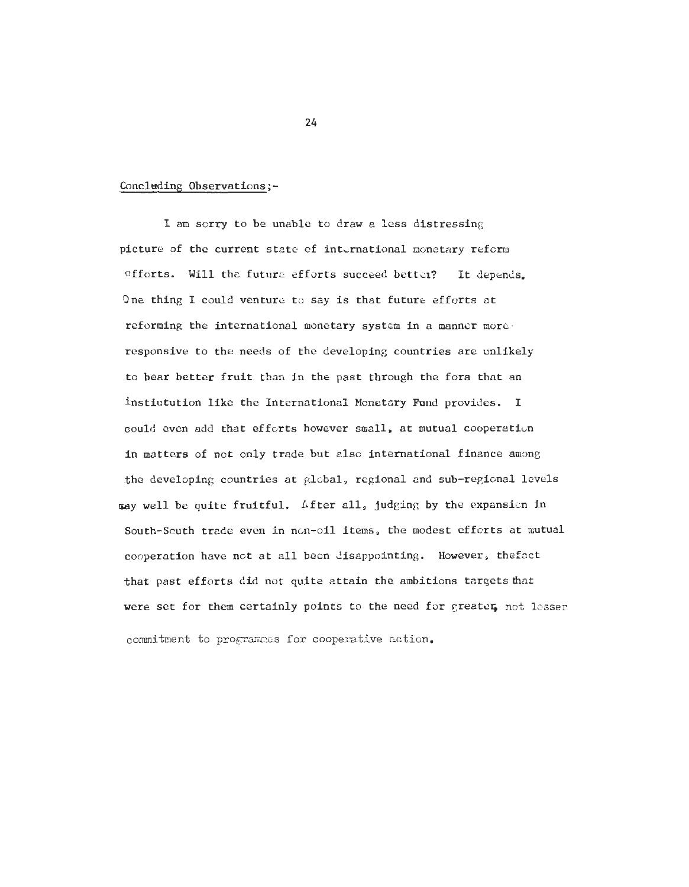#### Concluding Observations;-

I am sorry to be unable to draw a less distressing picture of the current state of international nonetary refcrn efforts. Will the future efforts succeed bettei? It depends. One thing I could venture to say is that future efforts at reforming the international monetary system in a manner more. responsive to the needs of the developing countries are unlikely to bear better fruit than in the past through the fora that an instiutution like the International Konetary'Fund provides. I could even add that efforts however small, at mutual cooperatiun in matters of not only trade but also international finance among the developing countries at global, regional and sub-regional lcvels way well be quite fruitful. After all, judging by the expansicn in South-South trade even in non-oil items, the modest efforts at mutual cooperation have not at all been disappointing. However, thefsct that past efforts did not quite attain the ambitions targets that were set for them certainly points to the need for greater, not lesser commitment to programmes for cooperative action.